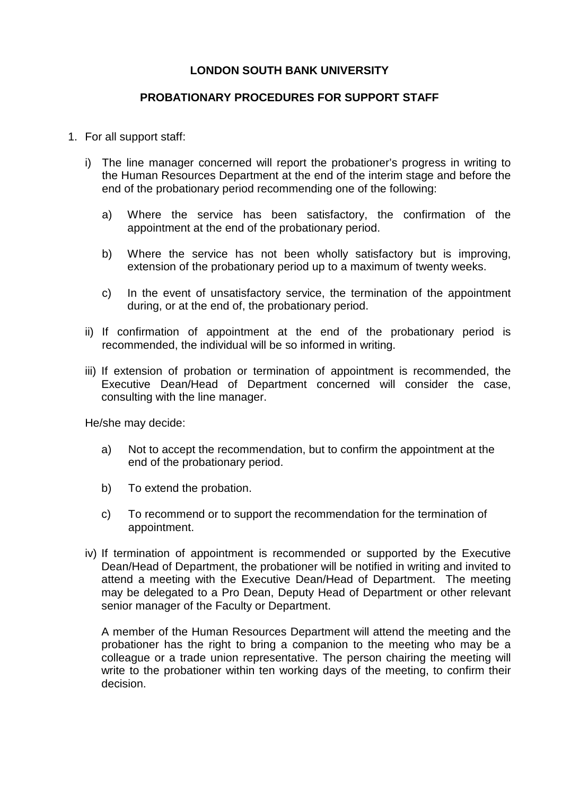## **LONDON SOUTH BANK UNIVERSITY**

## **PROBATIONARY PROCEDURES FOR SUPPORT STAFF**

- 1. For all support staff:
	- i) The line manager concerned will report the probationer's progress in writing to the Human Resources Department at the end of the interim stage and before the end of the probationary period recommending one of the following:
		- a) Where the service has been satisfactory, the confirmation of the appointment at the end of the probationary period.
		- b) Where the service has not been wholly satisfactory but is improving, extension of the probationary period up to a maximum of twenty weeks.
		- c) In the event of unsatisfactory service, the termination of the appointment during, or at the end of, the probationary period.
	- ii) If confirmation of appointment at the end of the probationary period is recommended, the individual will be so informed in writing.
	- iii) If extension of probation or termination of appointment is recommended, the Executive Dean/Head of Department concerned will consider the case, consulting with the line manager.

He/she may decide:

- a) Not to accept the recommendation, but to confirm the appointment at the end of the probationary period.
- b) To extend the probation.
- c) To recommend or to support the recommendation for the termination of appointment.
- iv) If termination of appointment is recommended or supported by the Executive Dean/Head of Department, the probationer will be notified in writing and invited to attend a meeting with the Executive Dean/Head of Department. The meeting may be delegated to a Pro Dean, Deputy Head of Department or other relevant senior manager of the Faculty or Department.

A member of the Human Resources Department will attend the meeting and the probationer has the right to bring a companion to the meeting who may be a colleague or a trade union representative. The person chairing the meeting will write to the probationer within ten working days of the meeting, to confirm their decision.